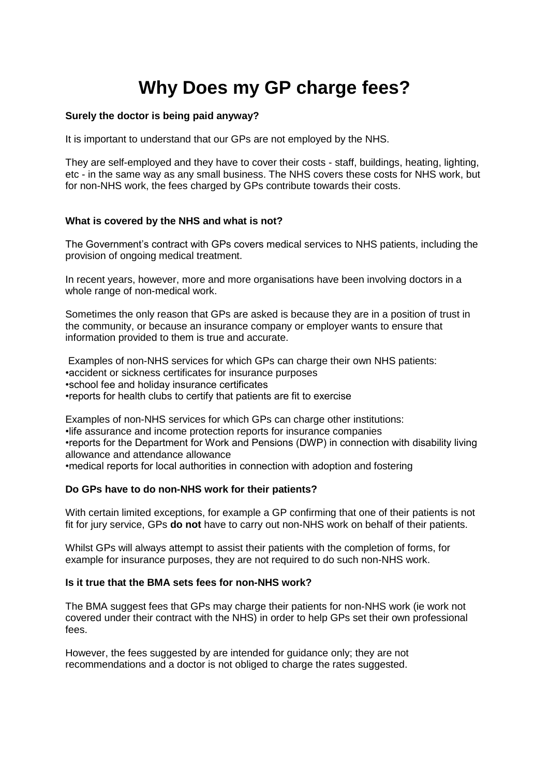# **Why Does my GP charge fees?**

# **Surely the doctor is being paid anyway?**

It is important to understand that our GPs are not employed by the NHS.

They are self-employed and they have to cover their costs - staff, buildings, heating, lighting, etc - in the same way as any small business. The NHS covers these costs for NHS work, but for non-NHS work, the fees charged by GPs contribute towards their costs.

# **What is covered by the NHS and what is not?**

The Government's contract with GPs covers medical services to NHS patients, including the provision of ongoing medical treatment.

In recent years, however, more and more organisations have been involving doctors in a whole range of non-medical work.

Sometimes the only reason that GPs are asked is because they are in a position of trust in the community, or because an insurance company or employer wants to ensure that information provided to them is true and accurate.

Examples of non-NHS services for which GPs can charge their own NHS patients: •accident or sickness certificates for insurance purposes •school fee and holiday insurance certificates •reports for health clubs to certify that patients are fit to exercise

Examples of non-NHS services for which GPs can charge other institutions: •life assurance and income protection reports for insurance companies •reports for the Department for Work and Pensions (DWP) in connection with disability living allowance and attendance allowance •medical reports for local authorities in connection with adoption and fostering

# **Do GPs have to do non-NHS work for their patients?**

With certain limited exceptions, for example a GP confirming that one of their patients is not fit for jury service, GPs **do not** have to carry out non-NHS work on behalf of their patients.

Whilst GPs will always attempt to assist their patients with the completion of forms, for example for insurance purposes, they are not required to do such non-NHS work.

# **Is it true that the BMA sets fees for non-NHS work?**

The BMA suggest fees that GPs may charge their patients for non-NHS work (ie work not covered under their contract with the NHS) in order to help GPs set their own professional fees.

However, the fees suggested by are intended for guidance only; they are not recommendations and a doctor is not obliged to charge the rates suggested.